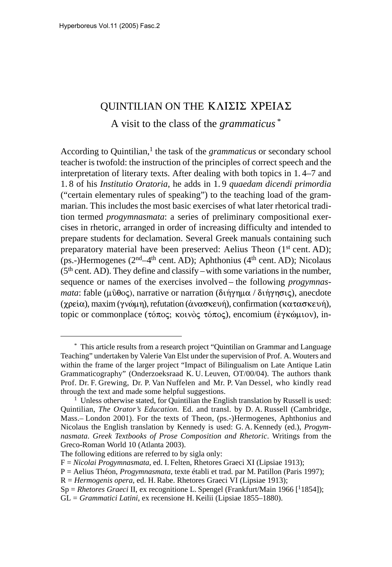# QUINTILIAN ON THE ΚΛΙΣΙΣ ΧΡΕΙΑΣ

A visit to the class of the *grammaticus* \*

According to Quintilian,<sup>1</sup> the task of the *grammaticus* or secondary school teacher is twofold: the instruction of the principles of correct speech and the interpretation of literary texts. After dealing with both topics in 1. 4–7 and 1. 8 of his *Institutio Oratoria*, he adds in 1. 9 *quaedam dicendi primordia* ("certain elementary rules of speaking") to the teaching load of the grammarian. This includes the most basic exercises of what later rhetorical tradition termed *progymnasmata*: a series of preliminary compositional exercises in rhetoric, arranged in order of increasing difficulty and intended to prepare students for declamation. Several Greek manuals containing such preparatory material have been preserved: Aelius Theon (1<sup>st</sup> cent. AD); (ps.-)Hermogenes ( $2<sup>nd</sup>-4<sup>th</sup>$  cent. AD); Aphthonius ( $4<sup>th</sup>$  cent. AD); Nicolaus (5th cent. AD). They define and classify –with some variations in the number, sequence or names of the exercises involved – the following *progymnas*mata: fable (μῦθος), narrative or narration (διήγημα / διήγησις), anecdote (χρεία), maxim (γνώμη), refutation (άνασκευή), confirmation (κατασκευή), topic or commonplace (τόπος; κοινὸς τόπος), encomium (ἐγκώμιον), in-

<sup>\*</sup> This article results from a research project "Quintilian on Grammar and Language Teaching" undertaken by Valerie Van Elst under the supervision of Prof. A. Wouters and within the frame of the larger project "Impact of Bilingualism on Late Antique Latin Grammaticography" (Onderzoeksraad K. U. Leuven, OT/00/04). The authors thank Prof. Dr. F. Grewing, Dr. P. Van Nuffelen and Mr. P. Van Dessel, who kindly read through the text and made some helpful suggestions.

<sup>&</sup>lt;sup>1</sup> Unless otherwise stated, for Quintilian the English translation by Russell is used: Quintilian, *The Orator's Education.* Ed. and transl. by D. A. Russell (Cambridge, Mass.– London 2001). For the texts of Theon, (ps.-)Hermogenes, Aphthonius and Nicolaus the English translation by Kennedy is used: G. A. Kennedy (ed.), *Progymnasmata. Greek Textbooks of Prose Composition and Rhetoric*. Writings from the Greco-Roman World 10 (Atlanta 2003).

The following editions are referred to by sigla only:

F = *Nicolai Progymnasmata*, ed. I. Felten, Rhetores Graeci XI (Lipsiae 1913);

P = Aelius Théon, *Progymnasmata*, texte établi et trad. par M. Patillon (Paris 1997);

R = *Hermogenis opera*, ed. H. Rabe. Rhetores Graeci VI (Lipsiae 1913);

Sp = *Rhetores Graeci* II, ex recognitione L. Spengel (Frankfurt/Main 1966 [11854]);

GL = *Grammatici Latini*, ex recensione H. Keilii (Lipsiae 1855–1880).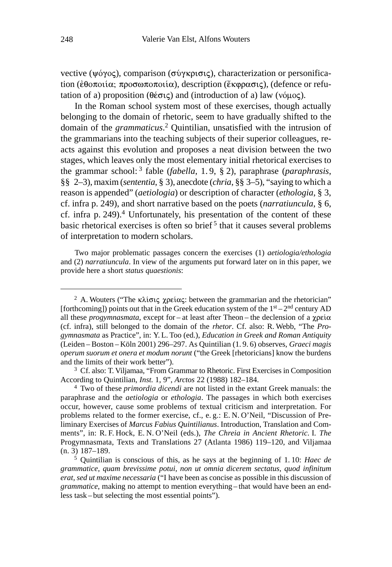vective (ψόγος), comparison (σύγκρισις), characterization or personification (έθοποιία; προσωποποιία), description (έκφρασις), (defence or refutation of a) proposition ( $\theta \notin \sigma \subset \mathcal{S}$ ) and (introduction of a) law ( $\nu \circ \mu \circ \varsigma$ ).

In the Roman school system most of these exercises, though actually belonging to the domain of rhetoric, seem to have gradually shifted to the domain of the *grammaticus*. 2 Quintilian, unsatisfied with the intrusion of the grammarians into the teaching subjects of their superior colleagues, reacts against this evolution and proposes a neat division between the two stages, which leaves only the most elementary initial rhetorical exercises to the grammar school: 3 fable (*fabella*, 1. 9, § 2), paraphrase (*paraphrasis*, §§ 2–3), maxim (*sententia*, § 3), anecdote (*chria*, §§ 3–5), "saying to which a reason is appended" (*aetiologia*) or description of character (*ethologia*, § 3, cf. infra p. 249), and short narrative based on the poets (*narratiuncula*, § 6, cf. infra p. 249).4 Unfortunately, his presentation of the content of these basic rhetorical exercises is often so brief<sup>5</sup> that it causes several problems of interpretation to modern scholars.

Two major problematic passages concern the exercises (1) *aetiologia/ethologia* and (2) *narratiuncula*. In view of the arguments put forward later on in this paper, we provide here a short *status quaestionis*:

<sup>&</sup>lt;sup>2</sup> A. Wouters ("The  $\kappa\lambda i\sigma i\varsigma$  xpe $i\alpha\varsigma$ : between the grammarian and the rhetorician" [forthcoming]) points out that in the Greek education system of the  $1<sup>st</sup> - 2<sup>nd</sup>$  century AD all these *progymnasmata*, except for – at least after Theon – the declension of a  $\gamma$  $p\epsilon\alpha$ (cf. infra), still belonged to the domain of the *rhetor*. Cf. also: R. Webb, "The *Progymnasmata* as Practice", in: Y. L. Too (ed.), *Education in Greek and Roman Antiquity* (Leiden – Boston – Köln 2001) 296–297. As Quintilian (1. 9. 6) observes, *Graeci magis operum suorum et onera et modum norunt* ("the Greek [rhetoricians] know the burdens and the limits of their work better").

<sup>&</sup>lt;sup>3</sup> Cf. also: T. Viljamaa, "From Grammar to Rhetoric. First Exercises in Composition According to Quintilian, *Inst.* 1, 9", *Arctos* 22 (1988) 182–184.

<sup>4</sup> Two of these *primordia dicendi* are not listed in the extant Greek manuals: the paraphrase and the *aetiologia* or *ethologia*. The passages in which both exercises occur, however, cause some problems of textual criticism and interpretation. For problems related to the former exercise, cf., e. g.: E. N. O'Neil, "Discussion of Preliminary Exercises of *Marcus Fabius Quintilianus*. Introduction, Translation and Comments", in: R. F. Hock, E. N. O'Neil (eds.), *The Chreia in Ancient Rhetoric.* I*. The* Progymnasmata, Texts and Translations 27 (Atlanta 1986) 119–120, and Viljamaa (n. 3) 187–189.

<sup>5</sup> Quintilian is conscious of this, as he says at the beginning of 1. 10: *Haec de grammatice, quam brevissime potui, non ut omnia dicerem sectatus, quod infinitum erat, sed ut maxime necessaria* ("I have been as concise as possible in this discussion of *grammatice*, making no attempt to mention everything – that would have been an endless task – but selecting the most essential points").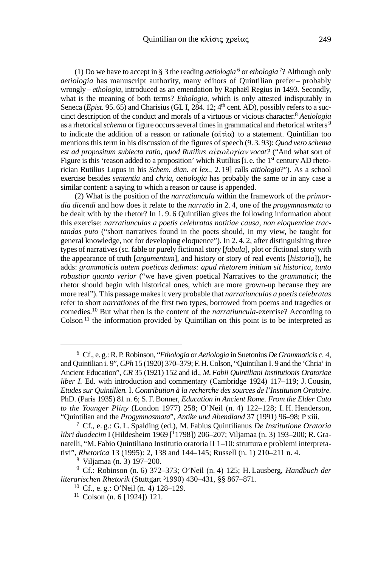(1) Do we have to accept in § 3 the reading *aetiologia*  $\frac{6}{9}$  or *ethologia*  $\frac{7}{2}$  Although only *aetiologia* has manuscript authority, many editors of Quintilian prefer – probably wrongly – *ethologia*, introduced as an emendation by Raphaël Regius in 1493. Secondly, what is the meaning of both terms? *Ethologia*, which is only attested indisputably in Seneca (*Epist.* 95. 65) and Charisius (GL I, 284. 12; 4<sup>th</sup> cent. AD), possibly refers to a succinct description of the conduct and morals of a virtuous or vicious character.8 *Aetiologia* as a rhetorical *schema* or figure occurs several times in grammatical and rhetorical writers <sup>9</sup> to indicate the addition of a reason or rationale  $(\alpha \tau \alpha)$  to a statement. Quintilian too mentions this term in his discussion of the figures of speech (9. 3. 93): *Quod vero schema* est ad propositum subiecta ratio, quod Rutilius αίτιολογίαν vocat? ("And what sort of Figure is this 'reason added to a proposition' which Rutilius [i. e. the 1st century AD rhetorician Rutilius Lupus in his *Schem. dian. et lex.*, 2. 19] calls *aitiologia*?"). As a school exercise besides *sententia* and *chria*, *aetiologia* has probably the same or in any case a similar content: a saying to which a reason or cause is appended.

(2) What is the position of the *narratiuncula* within the framework of the *primordia dicendi* and how does it relate to the *narratio* in 2. 4, one of the *progymnasmata* to be dealt with by the rhetor? In 1. 9. 6 Quintilian gives the following information about this exercise: *narratiunculas a poetis celebratas notitiae causa, non eloquentiae tractandas puto* ("short narratives found in the poets should, in my view, be taught for general knowledge, not for developing eloquence"). In 2. 4. 2, after distinguishing three types of narratives (sc. fable or purely fictional story [*fabula*], plot or fictional story with the appearance of truth [*argumentum*], and history or story of real events [*historia*]), he adds: *grammaticis autem poeticas dedimus: apud rhetorem initium sit historica, tanto robustior quanto verior* ("we have given poetical Narratives to the *grammatici*; the rhetor should begin with historical ones, which are more grown-up because they are more real"). This passage makes it very probable that *narratiunculas a poetis celebratas* refer to short *narrationes* of the first two types, borrowed from poems and tragedies or comedies.10 But what then is the content of the *narratiuncula*-exercise? According to  $\text{Colson}$ <sup>11</sup> the information provided by Quintilian on this point is to be interpreted as

<sup>6</sup> Cf., e. g.: R.P.Robinson, "*Ethologia* or *Aetiologia* in Suetonius *De Grammaticis* c. 4, and Quintilian i. 9", *CPh* 15 (1920) 370–379; F.H.Colson, "Quintilian I. 9 and the 'Chria' in Ancient Education", *CR* 35 (1921) 152 and id., *M.Fabii Quintiliani Institutionis Oratoriae liber I.* Ed. with introduction and commentary (Cambridge 1924) 117–119; J. Cousin, *Etudes sur Quintilien.* I. *Contribution à la recherche des sources de l'Institution Oratoire.* PhD. (Paris 1935) 81 n. 6; S. F.Bonner, *Education in Ancient Rome. From the Elder Cato to the Younger Pliny* (London 1977) 258; O'Neil (n. 4) 122–128; I. H. Henderson, "Quintilian and the *Progymnasmata*", *Antike und Abendland* 37 (1991) 96–98; P xiii.

<sup>7</sup> Cf., e. g.: G. L. Spalding (ed.), M. Fabius Quintilianus *De Institutione Oratoria libri duodecim* I (Hildesheim 1969 [11798]) 206–207; Viljamaa (n. 3) 193–200; R. Granatelli, "M. Fabio Quintiliano Institutio oratoria II 1–10: struttura e problemi interpretativi", *Rhetorica* 13 (1995): 2, 138 and 144–145; Russell (n. 1) 210–211 n. 4.

<sup>8</sup> Viljamaa (n. 3) 197–200.

<sup>9</sup> Cf.: Robinson (n. 6) 372–373; O'Neil (n. 4) 125; H. Lausberg, *Handbuch der literarischen Rhetorik* (Stuttgart ³1990) 430–431, §§ 867–871.

<sup>10</sup> Cf., e. g.: O'Neil (n. 4) 128–129.

<sup>11</sup> Colson (n. 6 [1924]) 121.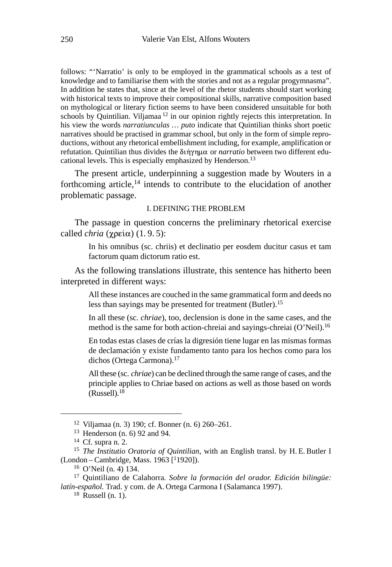follows: "'Narratio' is only to be employed in the grammatical schools as a test of knowledge and to familiarise them with the stories and not as a regular progymnasma". In addition he states that, since at the level of the rhetor students should start working with historical texts to improve their compositional skills, narrative composition based on mythological or literary fiction seems to have been considered unsuitable for both schools by Quintilian. Viljamaa <sup>12</sup> in our opinion rightly rejects this interpretation. In his view the words *narratiunculas … puto* indicate that Quintilian thinks short poetic narratives should be practised in grammar school, but only in the form of simple reproductions, without any rhetorical embellishment including, for example, amplification or refutation. Quintilian thus divides the διήγημα or *narratio* between two different educational levels. This is especially emphasized by Henderson.<sup>13</sup>

The present article, underpinning a suggestion made by Wouters in a forthcoming article,<sup>14</sup> intends to contribute to the elucidation of another problematic passage.

#### I. DEFINING THE PROBLEM

The passage in question concerns the preliminary rhetorical exercise called *chria*  $(\gamma \rho \varepsilon \alpha)$  (1.9.5):

> In his omnibus (sc. chriis) et declinatio per eosdem ducitur casus et tam factorum quam dictorum ratio est.

As the following translations illustrate, this sentence has hitherto been interpreted in different ways:

> All these instances are couched in the same grammatical form and deeds no less than sayings may be presented for treatment (Butler).<sup>15</sup>

> In all these (sc. *chriae*), too, declension is done in the same cases, and the method is the same for both action-chreiai and sayings-chreiai (O'Neil).<sup>16</sup>

> En todas estas clases de crías la digresión tiene lugar en las mismas formas de declamación y existe fundamento tanto para los hechos como para los dichos (Ortega Carmona).<sup>17</sup>

> All these (sc. *chriae*) can be declined through the same range of cases, and the principle applies to Chriae based on actions as well as those based on words (Russell).18

<sup>12</sup> Viljamaa (n. 3) 190; cf. Bonner (n. 6) 260–261.

<sup>13</sup> Henderson (n. 6) 92 and 94.

<sup>14</sup> Cf. supra n. 2.

<sup>15</sup> *The Institutio Oratoria of Quintilian*, with an English transl. by H. E. Butler I  $(London - Cambridge, Mass. 1963 [11920]).$ 

<sup>16</sup> O'Neil (n. 4) 134.

<sup>17</sup> Quintiliano de Calahorra*. Sobre la formación del orador. Edición bilingüe: latín-español.* Trad. y com. de A. Ortega Carmona I (Salamanca 1997).

 $18$  Russell (n. 1).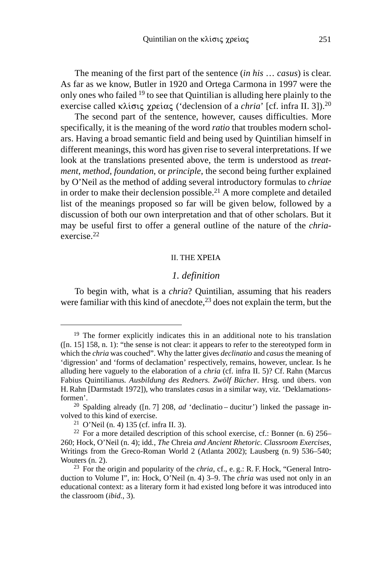The meaning of the first part of the sentence (*in his* … *casus*) is clear. As far as we know, Butler in 1920 and Ortega Carmona in 1997 were the only ones who failed 19 to see that Quintilian is alluding here plainly to the exercise called  $\kappa\lambda$ ίσις χρείας ('declension of a *chria*' [cf. infra II. 3]).<sup>20</sup>

The second part of the sentence, however, causes difficulties. More specifically, it is the meaning of the word *ratio* that troubles modern scholars. Having a broad semantic field and being used by Quintilian himself in different meanings, this word has given rise to several interpretations. If we look at the translations presented above, the term is understood as *treatment*, *method*, *foundation*, or *principle*, the second being further explained by O'Neil as the method of adding several introductory formulas to *chriae* in order to make their declension possible.<sup>21</sup> A more complete and detailed list of the meanings proposed so far will be given below, followed by a discussion of both our own interpretation and that of other scholars. But it may be useful first to offer a general outline of the nature of the *chria*exercise.22

#### II. THE

#### *1. definition*

To begin with, what is a *chria*? Quintilian, assuming that his readers were familiar with this kind of anecdote,<sup>23</sup> does not explain the term, but the

 $19$  The former explicitly indicates this in an additional note to his translation ([n. 15] 158, n. 1): "the sense is not clear: it appears to refer to the stereotyped form in which the *chria* was couched". Why the latter gives *declinatio* and *casus* the meaning of 'digression' and 'forms of declamation' respectively, remains, however, unclear. Is he alluding here vaguely to the elaboration of a *chria* (cf. infra II. 5)? Cf. Rahn (Marcus Fabius Quintilianus*. Ausbildung des Redners. Zwölf Bücher*. Hrsg. und übers. von H. Rahn [Darmstadt 1972]), who translates *casus* in a similar way, viz. 'Deklamationsformen'.

<sup>20</sup> Spalding already ([n. 7] 208, *ad* 'declinatio – ducitur') linked the passage involved to this kind of exercise.

<sup>&</sup>lt;sup>21</sup> O'Neil (n. 4) 135 (cf. infra II. 3).

<sup>&</sup>lt;sup>22</sup> For a more detailed description of this school exercise, cf.: Bonner (n. 6) 256– 260; Hock, O'Neil (n. 4); idd*.*, *The* Chreia *and Ancient Rhetoric. Classroom Exercises*, Writings from the Greco-Roman World 2 (Atlanta 2002); Lausberg (n. 9) 536–540; Wouters (n. 2).

<sup>23</sup> For the origin and popularity of the *chria*, cf., e. g.: R. F. Hock, "General Introduction to Volume I", in: Hock, O'Neil (n. 4) 3–9. The *chria* was used not only in an educational context: as a literary form it had existed long before it was introduced into the classroom (*ibid.*, 3).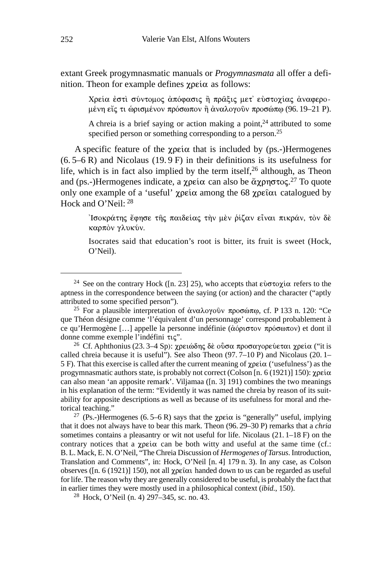extant Greek progymnasmatic manuals or *Progymnasmata* all offer a definition. Theon for example defines  $\gamma$  pei $\alpha$  as follows:

> Χρεία ἐστὶ σύντομος ἀπόφασις ἢ πρᾶξις μετ' εὐστοχίας ἀναφερομένη εἴς τι ὡρισμένον πρόσωπον ἢ ἀναλογοῦν προσώπφ (96. 19–21 Ρ).

> A chreia is a brief saying or action making a point, $24$  attributed to some specified person or something corresponding to a person.<sup>25</sup>

A specific feature of the  $\gamma$  pei $\alpha$  that is included by (ps.-)Hermogenes  $(6.5–6 R)$  and Nicolaus (19.9 F) in their definitions is its usefulness for life, which is in fact also implied by the term itself,  $2<sup>6</sup>$  although, as Theon and (ps.-)Hermogenes indicate, a χρεία can also be άχρηστος.<sup>27</sup> To quote only one example of a 'useful'  $\gamma \rho \in \alpha$  among the 68  $\gamma \rho \in \alpha$  catalogued by Hock and O'Neil: 28

> Ίσοκράτης ἔφησε τῆς παιδείας τὴν μὲν ῥίζαν εἶναι πικράν, τὸν δὲ καρπόν γλυκύν.

> Isocrates said that education's root is bitter, its fruit is sweet (Hock, O'Neil).

<sup>27</sup> (Ps.-)Hermogenes (6.5–6 R) says that the  $\chi$  $p\epsilon \omega$  is "generally" useful, implying that it does not always have to bear this mark. Theon (96. 29–30 P) remarks that a *chria* sometimes contains a pleasantry or wit not useful for life. Nicolaus (21. 1–18 F) on the contrary notices that a  $\chi$ pei $\alpha$  can be both witty and useful at the same time (cf.: B. L. Mack, E. N. O'Neil, "The Chreia Discussion of *Hermogenes of Tarsus*. Introduction, Translation and Comments", in: Hock, O'Neil [n. 4] 179 n. 3). In any case, as Colson observes ([n. 6 (1921)] 150), not all  $\chi$ peto a handed down to us can be regarded as useful for life. The reason why they are generally considered to be useful, is probably the fact that in earlier times they were mostly used in a philosophical context (*ibid.*, 150).

<sup>28</sup> Hock, O'Neil (n. 4) 297–345, sc. no. 43.

<sup>&</sup>lt;sup>24</sup> See on the contrary Hock ([n. 23] 25), who accepts that  $\epsilon \dot{\nu} \sigma \tau \dot{\nu} \gamma$  refers to the aptness in the correspondence between the saying (or action) and the character ("aptly attributed to some specified person").

<sup>&</sup>lt;sup>25</sup> For a plausible interpretation of άναλογοῦν προσώπω, cf. P 133 n. 120: "Ce que Théon désigne comme 'l'équivalent d'un personnage' correspond probablement à ce qu'Hermogène [...] appelle la personne indéfinie ( $\dot{\alpha}$ όριστον πρόσωπον) et dont il donne comme exemple l'indéfini  $\tau$ ic''.

<sup>&</sup>lt;sup>26</sup> Cf. Aphthonius (23. 3–4 Sp): χρειώδης δε οὖσα προσαγορεύεται χρεία ("it is called chreia because it is useful"). See also Theon (97. 7–10 P) and Nicolaus (20. 1– 5 F). That this exercise is called after the current meaning of  $\gamma \rho \varepsilon i \alpha$  ('usefulness') as the progymnasmatic authors state, is probably not correct (Colson [n. 6 (1921)] 150):  $\chi$  $p\epsilon i\alpha$ can also mean 'an apposite remark'. Viljamaa ([n. 3] 191) combines the two meanings in his explanation of the term: "Evidently it was named the chreia by reason of its suitability for apposite descriptions as well as because of its usefulness for moral and rhetorical teaching."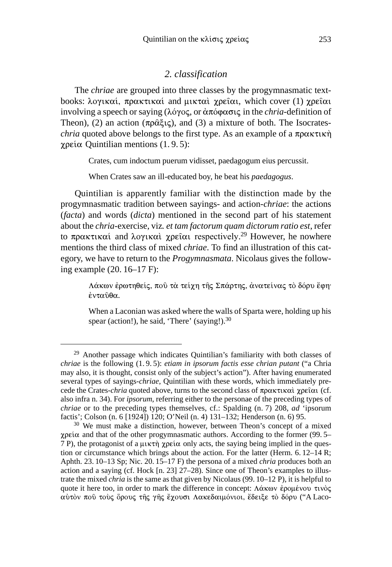### *2. classification*

The *chriae* are grouped into three classes by the progymnasmatic textbooks: λογικαί, πρακτικαί and μικταὶ χρεῖαι, which cover (1) χρεῖαι involving a speech or saying ( $\lambda$ ó $\gamma$ o $\varsigma$ , or  $\alpha \pi$ ó $\varphi$ ασις in the *chria*-definition of Theon), (2) an action  $(\pi \rho \hat{\alpha} \xi_1 \zeta)$ , and (3) a mixture of both. The Isocrates*chria* quoted above belongs to the first type. As an example of a  $\pi$   $\alpha$  $\kappa \tau$  $\kappa \dot{\gamma}$  $\gamma$ ρεία Quintilian mentions (1.9.5):

Crates, cum indoctum puerum vidisset, paedagogum eius percussit.

When Crates saw an ill-educated boy, he beat his *paedagogus*.

Quintilian is apparently familiar with the distinction made by the progymnasmatic tradition between sayings- and action-*chriae*: the actions (*facta*) and words (*dicta*) mentioned in the second part of his statement about the *chria*-exercise, viz*. et tam factorum quam dictorum ratio est*, refer to πρακτικαί and λογικαὶ χρεῖαι respectively.<sup>29</sup> However, he nowhere mentions the third class of mixed *chriae*. To find an illustration of this category, we have to return to the *Progymnasmata*. Nicolaus gives the following example (20. 16–17 F):

> Λάκων έρωτηθείς, που τα τείχη της Σπάρτης, άνατείνας το δόρυ έφη· ένταΰθα.

> When a Laconian was asked where the walls of Sparta were, holding up his spear (action!), he said, 'There' (saying!).<sup>30</sup>

<sup>29</sup> Another passage which indicates Quintilian's familiarity with both classes of *chriae* is the following (1. 9. 5): *etiam in ipsorum factis esse chrian putant* ("a Chria may also, it is thought, consist only of the subject's action"). After having enumerated several types of sayings-*chriae*, Quintilian with these words, which immediately precede the Crates-*chria* quoted above, turns to the second class of  $\pi \rho \alpha \kappa \tau \kappa \alpha \chi \gamma \rho \epsilon \hat{\alpha} \alpha$  (cf. also infra n. 34). For *ipsorum*, referring either to the personae of the preceding types of *chriae* or to the preceding types themselves, cf.: Spalding (n. 7) 208, *ad* 'ipsorum factis'; Colson (n. 6 [1924]) 120; O'Neil (n. 4) 131–132; Henderson (n. 6) 95.

<sup>&</sup>lt;sup>30</sup> We must make a distinction, however, between Theon's concept of a mixed  $\chi$ peí $\alpha$  and that of the other progymnasmatic authors. According to the former (99.5– 7 P), the protagonist of a  $\mu$ ικτή χρεία only acts, the saying being implied in the question or circumstance which brings about the action. For the latter (Herm.  $6.12-14$  R; Aphth. 23. 10–13 Sp; Nic. 20. 15–17 F) the persona of a mixed *chria* produces both an action and a saying (cf. Hock [n. 23] 27–28). Since one of Theon's examples to illustrate the mixed *chria* is the same as that given by Nicolaus (99. 10–12 P), it is helpful to quote it here too, in order to mark the difference in concept: Λάκων ἐρομένου τινὸς αὐτὸν ποῦ τοὺς ὅρους τῆς γῆς ἔχουσι Λακεδαιμόνιοι, ἔδειξε τὸ δόρυ ("A Laco-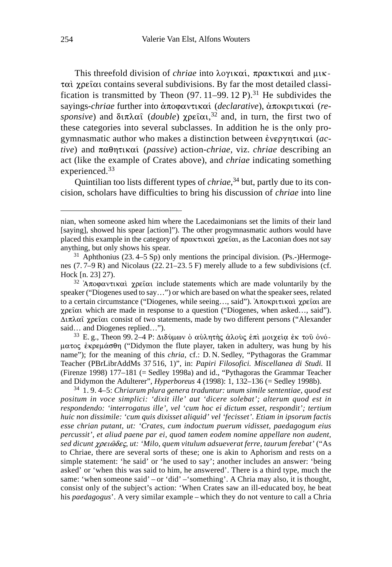This threefold division of *chriae* into λογικαί, πρακτικαί and μικ- $\tau$  $\alpha$   $\chi$  $\beta$  $\epsilon$  $\alpha$  contains several subdivisions. By far the most detailed classification is transmitted by Theon  $(97. 11-99. 12 \text{ P})$ .<sup>31</sup> He subdivides the sayings-*chriae* further into άποφαντικαί (*declarative*), άποκριτικαί (re $sponsive$ ) and  $\delta \in \mathbb{R}$  and  $\delta \in \mathbb{R}$  (*double*)  $\chi$ pet  $\delta \in \mathbb{R}$  and, in turn, the first two of these categories into several subclasses. In addition he is the only progymnasmatic author who makes a distinction between &!(*active*) and παθητικαί (*passive*) action-*chriae*, viz. *chriae* describing an act (like the example of Crates above), and *chriae* indicating something experienced.33

Quintilian too lists different types of *chriae*, 34 but, partly due to its concision, scholars have difficulties to bring his discussion of *chriae* into line

<sup>33</sup> E.g., Theon 99. 2–4 P: Διδύμων ο αύλητής άλους έπι μοιχεία έκ του όνόματος έκρεμάσθη ("Didymon the flute player, taken in adultery, was hung by his name"); for the meaning of this *chria*, cf.: D. N. Sedley, "Pythagoras the Grammar Teacher (PBrLibrAddMs 37 516, 1)", in: *Papiri Filosofici. Miscellanea di Studi.* II (Firenze 1998) 177–181 (= Sedley 1998a) and id., "Pythagoras the Grammar Teacher and Didymon the Adulterer", *Hyperboreus* 4 (1998): 1, 132–136 (= Sedley 1998b).

<sup>34</sup> 1. 9. 4–5: *Chriarum plura genera traduntur: unum simile sententiae, quod est positum in voce simplici: 'dixit ille' aut 'dicere solebat'; alterum quod est in respondendo: 'interrogatus ille', vel 'cum hoc ei dictum esset, respondit'; tertium huic non dissimile: 'cum quis dixisset aliquid' vel 'fecisset'. Etiam in ipsorum factis esse chrian putant, ut: 'Crates, cum indoctum puerum vidisset, paedagogum eius percussit', et aliud paene par ei, quod tamen eodem nomine appellare non audent,* sed dicunt χρειῶδες, ut: 'Milo, quem vitulum adsueverat ferre, taurum ferebat' ("As to Chriae, there are several sorts of these; one is akin to Aphorism and rests on a simple statement: 'he said' or 'he used to say'; another includes an answer: 'being asked' or 'when this was said to him, he answered'. There is a third type, much the same: 'when someone said' – or 'did' –'something'. A Chria may also, it is thought, consist only of the subject's action: 'When Crates saw an ill-educated boy, he beat his *paedagogus*'. A very similar example – which they do not venture to call a Chria

nian, when someone asked him where the Lacedaimonians set the limits of their land [saying], showed his spear [action]"). The other progymnasmatic authors would have placed this example in the category of  $\pi \rho \alpha \kappa \tau \kappa \alpha \alpha \gamma$  (see Equation does not say anything, but only shows his spear.

 $31$  Aphthonius (23. 4–5 Sp) only mentions the principal division. (Ps.-)Hermogenes (7. 7–9 R) and Nicolaus (22. 21–23. 5 F) merely allude to a few subdivisions (cf. Hock [n. 23] 27).

<sup>&</sup>lt;sup>32</sup> 'Aποφαντικαί χρείαι include statements which are made voluntarily by the speaker ("Diogenes used to say…") or which are based on what the speaker sees, related to a certain circumstance ("Diogenes, while seeing..., said"). Aποκριτικαί χρείαι are  $\chi$ pet $\alpha$  which are made in response to a question ("Diogenes, when asked..., said").  $\Delta \iota \pi \lambda \alpha \hat{\iota}$  χρείαι consist of two statements, made by two different persons ("Alexander") said… and Diogenes replied…").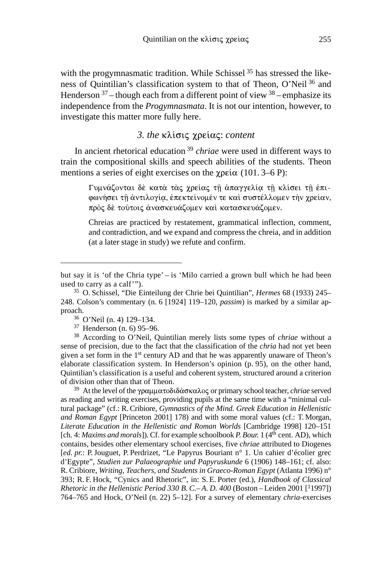with the progymnasmatic tradition. While Schissel <sup>35</sup> has stressed the likeness of Quintilian's classification system to that of Theon, O'Neil 36 and Henderson  $37$  – though each from a different point of view  $38$  – emphasize its independence from the *Progymnasmata*. It is not our intention, however, to investigate this matter more fully here.

## 3. the κλίσις χρείας: content

In ancient rhetorical education 39 *chriae* were used in different ways to train the compositional skills and speech abilities of the students. Theon mentions a series of eight exercises on the  $\chi$  $p\epsilon$ i $\alpha$  (101. 3–6 P):

> Γυμνάζονται δὲ κατὰ τὰς χρείας τῇ ἀπαγγελία τῇ κλίσει τῇ ἐπιφωνήσει τῇ ἀντιλογία, ἐπεκτείνομέν τε καὶ συστέλλομεν τὴν χρείαν, πρὸς δὲ τούτοις ἀνασκευάζομεν καὶ κατασκευάζομεν.

> Chreias are practiced by restatement, grammatical inflection, comment, and contradiction, and we expand and compress the chreia, and in addition (at a later stage in study) we refute and confirm.

<sup>37</sup> Henderson (n. 6) 95–96.

<sup>38</sup> According to O'Neil, Quintilian merely lists some types of *chriae* without a sense of precision, due to the fact that the classification of the *chria* had not yet been given a set form in the 1st century AD and that he was apparently unaware of Theon's elaborate classification system. In Henderson's opinion (p. 95), on the other hand, Quintilian's classification is a useful and coherent system, structured around a criterion of division other than that of Theon.

<sup>39</sup> At the level of the γραμματοδιδάσκαλος or primary school teacher, *chriae* served as reading and writing exercises, providing pupils at the same time with a "minimal cultural package" (cf.: R.Cribiore, *Gymnastics of the Mind. Greek Education in Hellenistic and Roman Egypt* [Princeton 2001] 178) and with some moral values (cf.: T. Morgan, *Literate Education in the Hellenistic and Roman Worlds* [Cambridge 1998] 120–151 [ch. 4: *Maxims and morals*]). Cf. for example schoolbook *P. Bour.* 1 (4<sup>th</sup> cent. AD), which contains, besides other elementary school exercises, five *chriae* attributed to Diogenes [*ed. pr.*: P.Jouguet, P. Perdrizet, "Le Papyrus Bouriant n° 1. Un cahier d'écolier grec d'Egypte", *Studien zur Palaeographie und Papyruskunde* 6 (1906) 148–161; cf. also: R. Cribiore, *Writing, Teachers, and Students in Graeco-Roman Egypt* (Atlanta 1996) n° 393; R. F. Hock, "Cynics and Rhetoric", in: S. E. Porter (ed.), *Handbook of Classical Rhetoric in the Hellenistic Period 330 B.C.–A.D. 400 (Boston – Leiden 2001 [<sup>1</sup>1997])* 764–765 and Hock, O'Neil (n. 22) 5–12]. For a survey of elementary *chria*-exercises

but say it is 'of the Chria type' – is 'Milo carried a grown bull which he had been used to carry as a calf'").

<sup>35</sup> O. Schissel, "Die Einteilung der Chrie bei Quintilian", *Hermes* 68 (1933) 245– 248. Colson's commentary (n. 6 [1924] 119–120, *passim*) is marked by a similar approach.

<sup>36</sup> O'Neil (n. 4) 129–134.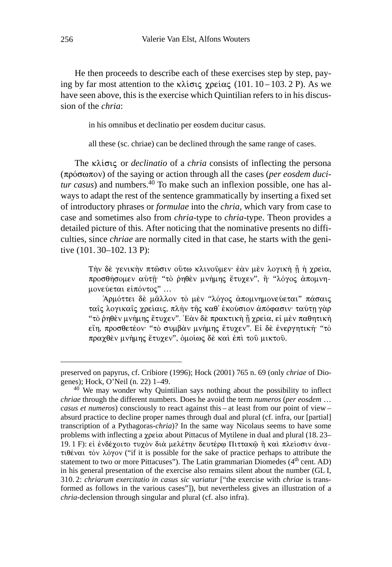He then proceeds to describe each of these exercises step by step, paying by far most attention to the  $\kappa\lambda i\sigma\iota\varsigma$   $\chi$  $\beta\epsilon i\alpha\varsigma$  (101. 10 – 103. 2 P). As we have seen above, this is the exercise which Quintilian refers to in his discussion of the *chria*:

in his omnibus et declinatio per eosdem ducitur casus.

all these (sc. chriae) can be declined through the same range of cases.

The κλίσις or *declinatio* of a *chria* consists of inflecting the persona (πρόσωπον) of the saying or action through all the cases (*per eosdem ducitur casus*) and numbers.<sup>40</sup> To make such an inflexion possible, one has always to adapt the rest of the sentence grammatically by inserting a fixed set of introductory phrases or *formulae* into the *chria*, which vary from case to case and sometimes also from *chria*-type to *chria*-type. Theon provides a detailed picture of this. After noticing that the nominative presents no difficulties, since *chriae* are normally cited in that case, he starts with the genitive (101. 30–102. 13 P):

> Tὴν δὲ γενικὴν πτῶσιν οὕτω κλινοῦμεν· ἐὰν μὲν λογικὴ ῇ ἡ χρεία, προσθήσομεν αὐτῆ· "τὸ ῥηθὲν μνήμης ἔτυχεν", ἢ· "λόγος ἀπομνημονεύεται εἰπόντος" ...

> Άρμόττει δὲ μᾶλλον τὸ μὲν "λόγος ἀπομνημονεύεται" πάσαις ταΐς λογικαΐς χρείαις, πλήν της καθ' έκούσιον άπόφασιν· ταύτη γάρ "τὸ ῥηθὲν μνήμης ἔτυχεν". Ἐὰν δὲ πρακτικὴ ῇ χρεία, εἰ μὲν παθητικὴ εἴη, προσθετέον<sup>.</sup> ''τὸ συμβὰν μνήμης ἔτυχεν''. Εἰ δὲ ἐνεργητική· ''τὸ πραχθὲν μνήμης ἔτυχεν", ὁμοίως δὲ καὶ ἐπὶ τοῦ μικτοῦ.

preserved on papyrus, cf. Cribiore (1996); Hock (2001) 765 n. 69 (only *chriae* of Diogenes); Hock, O'Neil (n. 22) 1–49.

<sup>40</sup> We may wonder why Quintilian says nothing about the possibility to inflect *chriae* through the different numbers. Does he avoid the term *numeros* (*per eosdem* … *casus et numeros*) consciously to react against this – at least from our point of view – absurd practice to decline proper names through dual and plural (cf. infra, our [partial] transcription of a Pythagoras-*chria*)? In the same way Nicolaus seems to have some problems with inflecting a  $\chi$ pei $\alpha$  about Pittacus of Mytilene in dual and plural (18.23– 19.1 F): εί ένδέχοιτο τυχόν διά μελέτην δευτέρφ Πιττακφ ή καί πλείοσιν άνα- $\tau \theta \acute{\epsilon}$  value to  $\lambda \acute{\epsilon}$  yov ("if it is possible for the sake of practice perhaps to attribute the statement to two or more Pittacuses"). The Latin grammarian Diomedes  $(4<sup>th</sup>$  cent. AD) in his general presentation of the exercise also remains silent about the number (GL I, 310. 2: *chriarum exercitatio in casus sic variatur* ["the exercise with *chriae* is transformed as follows in the various cases"]), but nevertheless gives an illustration of a *chria*-declension through singular and plural (cf. also infra).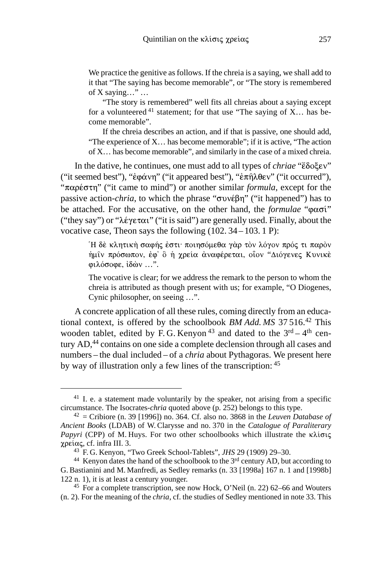We practice the genitive as follows. If the chreia is a saying, we shall add to it that "The saying has become memorable", or "The story is remembered of X saying…" …

"The story is remembered" well fits all chreias about a saying except for a volunteered  $41$  statement; for that use "The saying of X... has become memorable".

If the chreia describes an action, and if that is passive, one should add, "The experience of X… has become memorable"; if it is active, "The action of X… has become memorable", and similarly in the case of a mixed chreia.

In the dative, he continues, one must add to all types of *chriae* "ἔδοξεν" ("it seemed best"), "ἐφάνη" ("it appeared best"), "ἐπῆλθεν" ("it occurred"), "παρέστη" ("it came to mind") or another similar *formula*, except for the passive action-*chria*, to which the phrase " $\sigma$ vv $\epsilon$  $\beta$ n" ("it happened") has to be attached. For the accusative, on the other hand, the *formulae* " $\phi \alpha \sigma i$ " ("they say") or " $\lambda \epsilon \gamma \epsilon \tau \alpha$ " ("it is said") are generally used. Finally, about the vocative case, Theon says the following (102. 34 – 103. 1 P):

> Ή δὲ κλητικὴ σαφής ἐστι· ποιησόμεθα γὰρ τὸν λόγον πρός τι παρὸν ήμῖν πρόσωπον, ἐφ' ὃ ἡ χρεία ἀναφέρεται, οἶον "Διόγενες Κυνικὲ φιλόσοφε, ιδών ...".

> The vocative is clear; for we address the remark to the person to whom the chreia is attributed as though present with us; for example, "O Diogenes, Cynic philosopher, on seeing …".

A concrete application of all these rules, coming directly from an educational context, is offered by the schoolbook *BM Add. MS* 37 516.42 This wooden tablet, edited by F. G. Kenyon<sup>43</sup> and dated to the  $3<sup>rd</sup> - 4<sup>th</sup>$  century AD,<sup>44</sup> contains on one side a complete declension through all cases and numbers – the dual included – of a *chria* about Pythagoras. We present here by way of illustration only a few lines of the transcription: 45

 $41$  I. e. a statement made voluntarily by the speaker, not arising from a specific circumstance. The Isocrates-*chria* quoted above (p. 252) belongs to this type.

 $42$  = Cribiore (n. 39 [1996]) no. 364. Cf. also no. 3868 in the *Leuven Database of Ancient Books* (LDAB) of W. Clarysse and no. 370 in the *Catalogue of Paraliterary Papyri* (CPP) of M. Huys. For two other schoolbooks which illustrate the  $\kappa\lambda i\sigma\zeta$  $χρείας, cf. infra III. 3.$ 

<sup>43</sup> F. G. Kenyon, "Two Greek School-Tablets", *JHS* 29 (1909) 29–30.

<sup>&</sup>lt;sup>44</sup> Kenyon dates the hand of the schoolbook to the 3<sup>rd</sup> century AD, but according to G. Bastianini and M. Manfredi, as Sedley remarks (n. 33 [1998a] 167 n. 1 and [1998b] 122 n. 1), it is at least a century younger.

<sup>45</sup> For a complete transcription, see now Hock, O'Neil (n. 22) 62–66 and Wouters (n. 2). For the meaning of the *chria*, cf. the studies of Sedley mentioned in note 33. This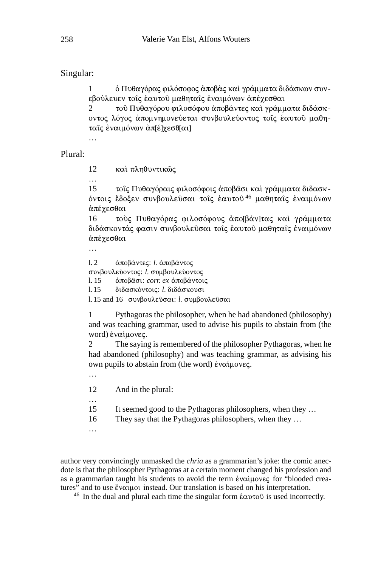## Singular:

1 - δ Πυθαγόρας φιλόσοφος ἀποβὰς καὶ γράμματα διδάσκων συνεβούλευεν τοῖς ἑαυτοῦ μαθηταῖς ἐναιμόνων ἀπέχεσθαι

2 - τοῦ Πυθαγόρου φιλοσόφου ἀποβάντες καὶ γράμματα διδάσκοντος λόγος ἀπομνημονεύεται συνβουλεύοντος τοῖς ἑαυτοῦ μαθηταῖς ἐναιμόνων ἀπ[έ]χεσθ[αι]

### Plural:

12 και πληθυντικώς

…

15 τοΐς Πυθαγόραις φιλοσόφοις άποβασι και γράμματα διδασκόντοις ἔδοξεν συνβουλεῦσαι τοῖς ἑαυτοῦ<sup>46</sup> μαθηταῖς ἐναιμόνων άπέγεσθαι

16 τούς Πυθαγόρας φιλοσόφους άπο[βάν]τας και γράμματα διδάσκοντάς φασιν συνβουλεῦσαι τοῖς ἑαυτοῦ μαθηταῖς ἐναιμόνων άπέγεσθαι

…

l. 2 *άποβάντες: l. άποβάντος* συνβουλεύοντος: *l.* συμβουλεύοντος l. 15 *άποβασι: corr. ex αποβάντοις* l. 15 διδασκόντοις: *l.* διδάσκουσι

l. 15 and 16 συνβουλεῦσαι: *l.* συμβουλεῦσαι

1 Pythagoras the philosopher, when he had abandoned (philosophy) and was teaching grammar, used to advise his pupils to abstain from (the word) εναίμονες.

2 The saying is remembered of the philosopher Pythagoras, when he had abandoned (philosophy) and was teaching grammar, as advising his own pupils to abstain from (the word) έναίμονες.

12 And in the plural:

- 15 It seemed good to the Pythagoras philosophers, when they …
- 16 They say that the Pythagoras philosophers, when they …
- …

…

author very convincingly unmasked the *chria* as a grammarian's joke: the comic anecdote is that the philosopher Pythagoras at a certain moment changed his profession and as a grammarian taught his students to avoid the term εναίμονες for "blooded creatures" and to use ἔναιμοι instead. Our translation is based on his interpretation.

<sup>&</sup>lt;sup>46</sup> In the dual and plural each time the singular form  $\&\alpha \nu \tau \circ \hat{v}$  is used incorrectly.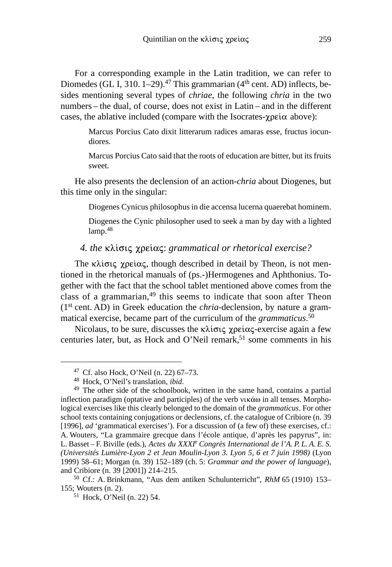For a corresponding example in the Latin tradition, we can refer to Diomedes (GL I, 310. 1–29).<sup>47</sup> This grammarian ( $4<sup>th</sup>$  cent. AD) inflects, besides mentioning several types of *chriae*, the following *chria* in the two numbers – the dual, of course, does not exist in Latin – and in the different cases, the ablative included (compare with the Isocrates- $\gamma$  $p \in \alpha$  above):

> Marcus Porcius Cato dixit litterarum radices amaras esse, fructus iocundiores.

> Marcus Porcius Cato said that the roots of education are bitter, but its fruits sweet.

He also presents the declension of an action-*chria* about Diogenes, but this time only in the singular:

Diogenes Cynicus philosophus in die accensa lucerna quaerebat hominem.

Diogenes the Cynic philosopher used to seek a man by day with a lighted lamp.<sup>48</sup>

#### *4. the κλίσις γρείας: grammatical or rhetorical exercise?*

The  $\kappa\lambda i\sigma i\varsigma$   $\chi$  pei $\alpha\varsigma$ , though described in detail by Theon, is not mentioned in the rhetorical manuals of (ps.-)Hermogenes and Aphthonius. Together with the fact that the school tablet mentioned above comes from the class of a grammarian,<sup>49</sup> this seems to indicate that soon after Theon (1st cent. AD) in Greek education the *chria*-declension, by nature a grammatical exercise, became part of the curriculum of the *grammaticus*. 50

Nicolaus, to be sure, discusses the  $\kappa\lambda i \sigma \iota \varsigma$  ype  $i\alpha \varsigma$ -exercise again a few centuries later, but, as Hock and O'Neil remark,<sup>51</sup> some comments in his

<sup>47</sup> Cf. also Hock, O'Neil (n. 22) 67–73.

<sup>48</sup> Hock, O'Neil's translation, *ibid*.

<sup>49</sup> The other side of the schoolbook, written in the same hand, contains a partial inflection paradigm (optative and participles) of the verb  $\nu$ uká $\omega$  in all tenses. Morphological exercises like this clearly belonged to the domain of the *grammaticus*. For other school texts containing conjugations or declensions, cf. the catalogue of Cribiore (n. 39 [1996], *ad* 'grammatical exercises'). For a discussion of (a few of) these exercises, cf.: A. Wouters, "La grammaire grecque dans l'école antique, d'après les papyrus", in: L. Basset – F. Biville (eds.), *Actes du XXXIe Congrès International de l'A. P. L. A. E. S. (Universités Lumière-Lyon 2 et Jean Moulin-Lyon 3. Lyon 5, 6 et 7 juin 1998)* (Lyon 1999) 58–61; Morgan (n. 39) 152–189 (ch. 5: *Grammar and the power of language*), and Cribiore (n. 39 [2001]) 214–215.

<sup>50</sup> Cf.: A. Brinkmann, "Aus dem antiken Schulunterricht", *RhM* 65 (1910) 153– 155; Wouters (n. 2).

<sup>51</sup> Hock, O'Neil (n. 22) 54.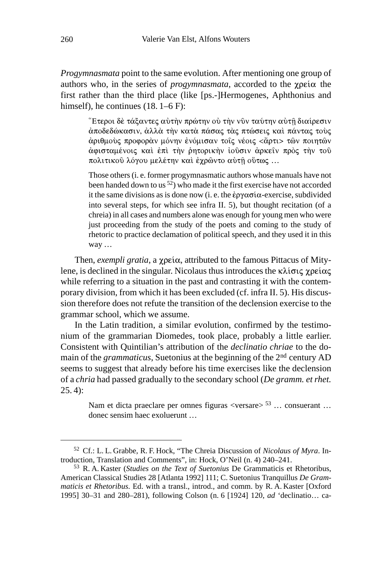*Progymnasmata* point to the same evolution. After mentioning one group of authors who, in the series of *progymnasmata*, accorded to the  $\chi$  $p\epsilon i\alpha$  the first rather than the third place (like [ps.-]Hermogenes, Aphthonius and himself), he continues (18. 1–6 F):

> Έτεροι δὲ τάξαντες αὐτὴν πρώτην οὐ τὴν νῦν ταύτην αὐτῆ διαίρεσιν άποδεδώκασιν, άλλά την κατά πάσας τάς πτώσεις και πάντας τους άριθμοὺς προφορὰν μόνην ἐνόμισαν τοῖς νέοις <ἄρτι> τῶν ποιητῶν άφισταμένοις καὶ ἐπὶ τὴν ῥητορικὴν ἰοῦσιν ἀρκεῖν πρὸς τὴν τοῦ πολιτικοῦ λόγου μελέτην καὶ ἐχρῶντο αὐτῇ οὕτως ...

> Those others (i. e. former progymnasmatic authors whose manuals have not been handed down to us  $52$ ) who made it the first exercise have not accorded it the same divisions as is done now (i. e. the  $\epsilon_{p\gamma\alpha\sigma\alpha}$ -exercise, subdivided into several steps, for which see infra II. 5), but thought recitation (of a chreia) in all cases and numbers alone was enough for young men who were just proceeding from the study of the poets and coming to the study of rhetoric to practice declamation of political speech, and they used it in this way …

Then, *exempli gratia*, a χρεία, attributed to the famous Pittacus of Mitylene, is declined in the singular. Nicolaus thus introduces the  $\kappa\lambda$ ίσις χρείας while referring to a situation in the past and contrasting it with the contemporary division, from which it has been excluded (cf. infra II. 5). His discussion therefore does not refute the transition of the declension exercise to the grammar school, which we assume.

In the Latin tradition, a similar evolution, confirmed by the testimonium of the grammarian Diomedes, took place, probably a little earlier. Consistent with Quintilian's attribution of the *declinatio chriae* to the domain of the *grammaticus*, Suetonius at the beginning of the 2nd century AD seems to suggest that already before his time exercises like the declension of a *chria* had passed gradually to the secondary school (*De gramm. et rhet.*  $(25.4)$ :

> Nam et dicta praeclare per omnes figuras  $\langle$ versare $\rangle$ <sup>53</sup> ... consuerant ... donec sensim haec exoluerunt …

<sup>52</sup> Cf.: L. L. Grabbe, R. F. Hock, "The Chreia Discussion of *Nicolaus of Myra*. Introduction, Translation and Comments", in: Hock, O'Neil (n. 4) 240–241.

<sup>53</sup> R. A. Kaster (*Studies on the Text of Suetonius* De Grammaticis et Rhetoribus, American Classical Studies 28 [Atlanta 1992] 111; C. Suetonius Tranquillus *De Grammaticis et Rhetoribus*. Ed. with a transl., introd., and comm. by R. A. Kaster [Oxford 1995] 30–31 and 280–281), following Colson (n. 6 [1924] 120, *ad* 'declinatio… ca-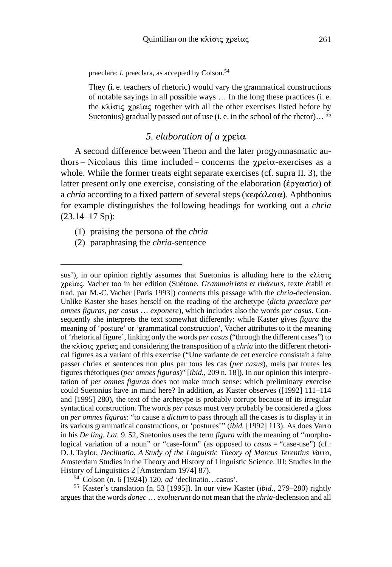praeclare: *l.* praeclara, as accepted by Colson.<sup>54</sup>

They (i. e. teachers of rhetoric) would vary the grammatical constructions of notable sayings in all possible ways … In the long these practices (i. e. the  $\kappa \lambda i \sigma i \varsigma$  xpei $\alpha \varsigma$  together with all the other exercises listed before by Suetonius) gradually passed out of use (i. e. in the school of the rhetor)... <sup>55</sup>

## *5. elaboration of a*

A second difference between Theon and the later progymnasmatic authors – Nicolaus this time included – concerns the  $\gamma \rho \epsilon \omega$ -exercises as a whole. While the former treats eight separate exercises (cf. supra II. 3), the latter present only one exercise, consisting of the elaboration ( $\epsilon \rho \gamma \alpha \sigma \alpha$ ) of a *chria* according to a fixed pattern of several steps (κεφάλαια). Aphthonius for example distinguishes the following headings for working out a *chria* (23.14–17 Sp):

- (1) praising the persona of the *chria*
- (2) paraphrasing the *chria*-sentence

<sup>55</sup> Kaster's translation (n. 53 [1995]). In our view Kaster (*ibid*., 279–280) rightly argues that the words *donec* … *exoluerunt* do not mean that the *chria*-declension and all

sus'), in our opinion rightly assumes that Suetonius is alluding here to the  $\kappa\lambda i\sigma\alpha\zeta$ . Vacher too in her edition (Suétone*. Grammairiens et rhéteurs*, texte établi et trad. par M.-C. Vacher [Paris 1993]) connects this passage with the *chria*-declension. Unlike Kaster she bases herself on the reading of the archetype (*dicta praeclare per omnes figuras, per casus* … *exponere*), which includes also the words *per casus*. Consequently she interprets the text somewhat differently: while Kaster gives *figura* the meaning of 'posture' or 'grammatical construction', Vacher attributes to it the meaning of 'rhetorical figure', linking only the words *per casus* ("through the different cases") to the  $\kappa \lambda i \sigma i \varsigma$  *xpetice and considering the transposition of a <i>chria* into the different rhetorical figures as a variant of this exercise ("Une variante de cet exercice consistait à faire passer chries et sentences non plus par tous les cas (*per casus*), mais par toutes les figures rhétoriques (*per omnes figuras*)" [*ibid.*, 209 n. 18])*.* In our opinion this interpretation of *per omnes figuras* does not make much sense: which preliminary exercise could Suetonius have in mind here? In addition, as Kaster observes ([1992] 111–114 and [1995] 280), the text of the archetype is probably corrupt because of its irregular syntactical construction. The words *per casus* must very probably be considered a gloss on *per omnes figuras*: "to cause a *dictum* to pass through all the cases is to display it in its various grammatical constructions, or 'postures'" (*ibid.* [1992] 113). As does Varro in his *De ling. Lat.* 9. 52, Suetonius uses the term *figura* with the meaning of "morphological variation of a noun" or "case-form" (as opposed to *casus* = "case-use") (cf.: D.J. Taylor, *Declinatio. A Study of the Linguistic Theory of Marcus Terentius Varro*, Amsterdam Studies in the Theory and History of Linguistic Science. III: Studies in the History of Linguistics 2 [Amsterdam 1974] 87).

<sup>54</sup> Colson (n. 6 [1924]) 120, *ad* 'declinatio…casus'.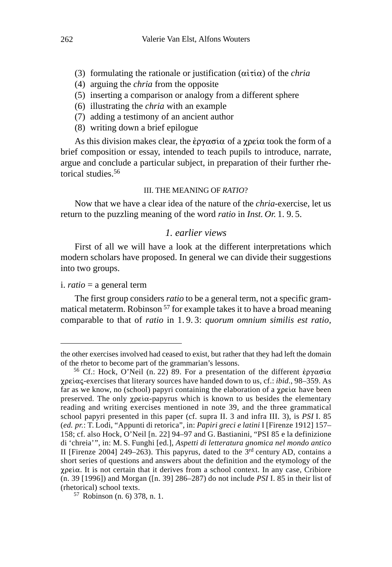- (3) formulating the rationale or justification  $(\alpha i \tau i \alpha)$  of the *chria*
- (4) arguing the *chria* from the opposite
- (5) inserting a comparison or analogy from a different sphere
- (6) illustrating the *chria* with an example
- (7) adding a testimony of an ancient author
- (8) writing down a brief epilogue

As this division makes clear, the  $\epsilon \rho \gamma \alpha \sigma \alpha$  of a  $\gamma \rho \epsilon \alpha$  took the form of a brief composition or essay, intended to teach pupils to introduce, narrate, argue and conclude a particular subject, in preparation of their further rhetorical studies<sup>56</sup>

#### III. THE MEANING OF *RATIO*?

Now that we have a clear idea of the nature of the *chria*-exercise, let us return to the puzzling meaning of the word *ratio* in *Inst. Or.* 1. 9. 5.

### *1. earlier views*

First of all we will have a look at the different interpretations which modern scholars have proposed. In general we can divide their suggestions into two groups.

#### i. *ratio* = a general term

The first group considers *ratio* to be a general term, not a specific grammatical metaterm. Robinson 57 for example takes it to have a broad meaning comparable to that of *ratio* in 1. 9. 3: *quorum omnium similis est ratio,*

the other exercises involved had ceased to exist, but rather that they had left the domain of the rhetor to become part of the grammarian's lessons.

<sup>&</sup>lt;sup>56</sup> Cf.: Hock, O'Neil (n. 22) 89. For a presentation of the different έργασία  $\chi$  $\beta$ exercises that literary sources have handed down to us, cf.: *ibid.*, 98–359. As far as we know, no (school) papyri containing the elaboration of a  $\chi$  $p \in \alpha$  have been preserved. The only  $\chi$  papyrus which is known to us besides the elementary reading and writing exercises mentioned in note 39, and the three grammatical school papyri presented in this paper (cf. supra II. 3 and infra III. 3), is *PSI* I. 85 (*ed. pr.*: T. Lodi, "Appunti di retorica", in: *Papiri greci e latini* I [Firenze 1912] 157– 158; cf. also Hock, O'Neil [n. 22] 94–97 and G. Bastianini, "PSI 85 e la definizione di 'chreia'", in: M. S. Funghi [ed.], *Aspetti di letteratura gnomica nel mondo antico* II [Firenze 2004] 249–263). This papyrus, dated to the  $3<sup>rd</sup>$  century AD, contains a short series of questions and answers about the definition and the etymology of the  $\chi$  $\beta$ εία. It is not certain that it derives from a school context. In any case, Cribiore (n. 39 [1996]) and Morgan ([n. 39] 286–287) do not include *PSI* I. 85 in their list of (rhetorical) school texts.

<sup>57</sup> Robinson (n. 6) 378, n. 1.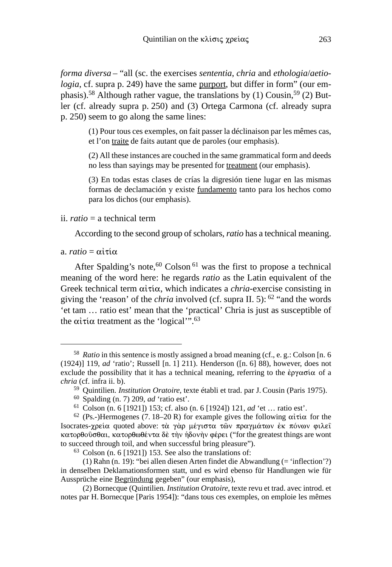*forma diversa* – "all (sc. the exercises *sententia*, *chria* and *ethologia*/*aetiologia*, cf. supra p. 249) have the same purport, but differ in form" (our emphasis).<sup>58</sup> Although rather vague, the translations by (1) Cousin,<sup>59</sup> (2) Butler (cf. already supra p. 250) and (3) Ortega Carmona (cf. already supra p. 250) seem to go along the same lines:

> (1) Pour tous ces exemples, on fait passer la déclinaison par les mêmes cas, et l'on traite de faits autant que de paroles (our emphasis).

> (2) All these instances are couched in the same grammatical form and deeds no less than sayings may be presented for treatment (our emphasis).

> (3) En todas estas clases de crías la digresión tiene lugar en las mismas formas de declamación y existe fundamento tanto para los hechos como para los dichos (our emphasis).

#### ii. *ratio* = a technical term

According to the second group of scholars, *ratio* has a technical meaning.

 $a. \text{ ratio} = \alpha \hat{i} \tau \hat{i} \alpha$ 

After Spalding's note,<sup>60</sup> Colson<sup>61</sup> was the first to propose a technical meaning of the word here: he regards *ratio* as the Latin equivalent of the Greek technical term  $\alpha i \tau i \alpha$ , which indicates a *chria*-exercise consisting in giving the 'reason' of the *chria* involved (cf. supra II. 5): 62 "and the words 'et tam … ratio est' mean that the 'practical' Chria is just as susceptible of the  $\alpha\tilde{\iota}\tau\tilde{\iota}\alpha$  treatment as the 'logical'".<sup>63</sup>

<sup>58</sup> *Ratio* in this sentence is mostly assigned a broad meaning (cf., e. g.: Colson [n. 6 (1924)] 119, *ad* 'ratio'; Russell [n. 1] 211). Henderson ([n. 6] 88), however, does not exclude the possibility that it has a technical meaning, referring to the  $\epsilon$ p $\gamma \alpha \sigma \alpha$  of a *chria* (cf. infra ii. b).

<sup>59</sup> Quintilien*. Institution Oratoire*, texte établi et trad. par J. Cousin (Paris 1975).

<sup>60</sup> Spalding (n. 7) 209, *ad* 'ratio est'.

<sup>61</sup> Colson (n. 6 [1921]) 153; cf. also (n. 6 [1924]) 121, *ad* 'et … ratio est'.

<sup>&</sup>lt;sup>62</sup> (Ps.-)Hermogenes (7. 18–20 R) for example gives the following  $\alpha i \tau i \alpha$  for the Isocrates-χρεία quoted above: τὰ γὰρ μέγιστα τῶν πραγμάτων ἐκ πόνων φιλεῖ  $\kappa \alpha \tau$ ορθούσθαι, κατορθωθέντα δὲ την ήδονην φέρει ("for the greatest things are wont to succeed through toil, and when successful bring pleasure").

 $63$  Colson (n. 6 [1921]) 153. See also the translations of:

<sup>(1)</sup> Rahn (n. 19): "bei allen diesen Arten findet die Abwandlung (= 'inflection'?) in denselben Deklamationsformen statt, und es wird ebenso für Handlungen wie für Aussprüche eine Begründung gegeben" (our emphasis),

<sup>(2)</sup> Bornecque (Quintilien*. Institution Oratoire*, texte revu et trad. avec introd. et notes par H. Bornecque [Paris 1954]): "dans tous ces exemples, on emploie les mêmes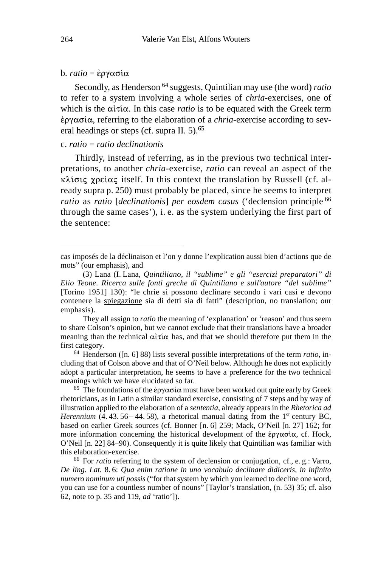#### $b$ *. ratio* = *έργασία*

Secondly, as Henderson 64 suggests, Quintilian may use (the word) *ratio* to refer to a system involving a whole series of *chria*-exercises, one of which is the  $\alpha i \tau i \alpha$ . In this case *ratio* is to be equated with the Greek term &, referring to the elaboration of a *chria*-exercise according to several headings or steps (cf. supra II. 5).<sup>65</sup>

### c. *ratio* = *ratio declinationis*

Thirdly, instead of referring, as in the previous two technical interpretations, to another *chria*-exercise, *ratio* can reveal an aspect of the  $\kappa\lambda$ ίσις χρείας itself. In this context the translation by Russell (cf. already supra p. 250) must probably be placed, since he seems to interpret *ratio* as *ratio* [*declinationis*] *per eosdem casus* ('declension principle 66 through the same cases'), i. e. as the system underlying the first part of the sentence:

They all assign to *ratio* the meaning of 'explanation' or 'reason' and thus seem to share Colson's opinion, but we cannot exclude that their translations have a broader meaning than the technical  $\alpha i \tau i \alpha$  has, and that we should therefore put them in the first category.

<sup>64</sup> Henderson ([n. 6] 88) lists several possible interpretations of the term *ratio*, including that of Colson above and that of O'Neil below. Although he does not explicitly adopt a particular interpretation, he seems to have a preference for the two technical meanings which we have elucidated so far.

<sup>65</sup> The foundations of the  $\epsilon$  *p* $\alpha$  $\sigma$ *i* $\alpha$  must have been worked out quite early by Greek rhetoricians, as in Latin a similar standard exercise, consisting of 7 steps and by way of illustration applied to the elaboration of a *sententia*, already appears in the *Rhetorica ad Herennium* (4.43.56 – 44.58), a rhetorical manual dating from the 1<sup>st</sup> century BC, based on earlier Greek sources (cf. Bonner [n. 6] 259; Mack, O'Neil [n. 27] 162; for more information concerning the historical development of the  $\epsilon \rho \gamma \alpha \sigma \alpha$ , cf. Hock, O'Neil [n. 22] 84–90). Consequently it is quite likely that Quintilian was familiar with this elaboration-exercise.

<sup>66</sup> For *ratio* referring to the system of declension or conjugation, cf., e. g.: Varro, *De ling. Lat.* 8. 6: *Qua enim ratione in uno vocabulo declinare didiceris, in infinito numero nominum uti possis* ("for that system by which you learned to decline one word, you can use for a countless number of nouns" [Taylor's translation, (n. 53) 35; cf. also 62, note to p. 35 and 119, *ad* 'ratio']).

cas imposés de la déclinaison et l'on y donne l'explication aussi bien d'actions que de mots" (our emphasis), and

<sup>(3)</sup> Lana (I. Lana, *Quintiliano, il "sublime" e gli "esercizi preparatori" di Elio Teone. Ricerca sulle fonti greche di Quintiliano e sull'autore "del sublime"* [Torino 1951] 130): "le chrie si possono declinare secondo i vari casi e devono contenere la spiegazione sia di detti sia di fatti" (description, no translation; our emphasis).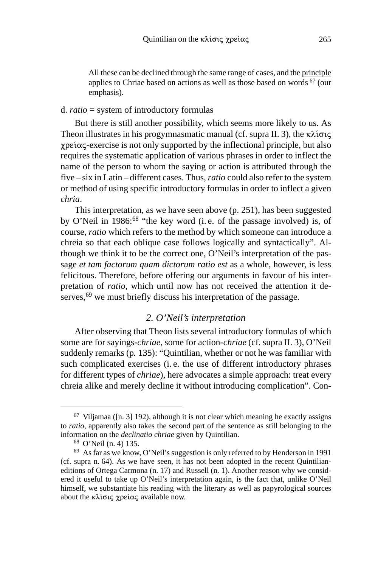All these can be declined through the same range of cases, and the principle applies to Chriae based on actions as well as those based on words  $67$  (our emphasis).

#### d. *ratio* = system of introductory formulas

But there is still another possibility, which seems more likely to us. As Theon illustrates in his progymnasmatic manual (cf. supra II. 3), the  $\kappa\lambda i\sigma\iota\varsigma$  $\chi$  $\beta$  exercise is not only supported by the inflectional principle, but also requires the systematic application of various phrases in order to inflect the name of the person to whom the saying or action is attributed through the five – six in Latin – different cases. Thus, *ratio* could also refer to the system or method of using specific introductory formulas in order to inflect a given *chria*.

This interpretation, as we have seen above (p. 251), has been suggested by O'Neil in 1986:<sup>68</sup> "the key word (i.e. of the passage involved) is, of course, *ratio* which refers to the method by which someone can introduce a chreia so that each oblique case follows logically and syntactically". Although we think it to be the correct one, O'Neil's interpretation of the passage *et tam factorum quam dictorum ratio est* as a whole, however, is less felicitous. Therefore, before offering our arguments in favour of his interpretation of *ratio*, which until now has not received the attention it deserves,<sup>69</sup> we must briefly discuss his interpretation of the passage.

### *2. O'Neil's interpretation*

After observing that Theon lists several introductory formulas of which some are for sayings-*chriae,* some for action-*chriae* (cf. supra II. 3), O'Neil suddenly remarks (p*.* 135): "Quintilian, whether or not he was familiar with such complicated exercises (i. e. the use of different introductory phrases for different types of *chriae*), here advocates a simple approach: treat every chreia alike and merely decline it without introducing complication". Con-

 $67$  Viljamaa ([n. 3] 192), although it is not clear which meaning he exactly assigns to *ratio*, apparently also takes the second part of the sentence as still belonging to the information on the *declinatio chriae* given by Quintilian.

<sup>68</sup> O'Neil (n. 4) 135.

<sup>69</sup> As far as we know, O'Neil's suggestion is only referred to by Henderson in 1991 (cf. supra n. 64). As we have seen, it has not been adopted in the recent Quintilianeditions of Ortega Carmona (n. 17) and Russell (n. 1). Another reason why we considered it useful to take up O'Neil's interpretation again, is the fact that, unlike O'Neil himself, we substantiate his reading with the literary as well as papyrological sources about the  $\kappa\lambda$ ίσις χρείας available now.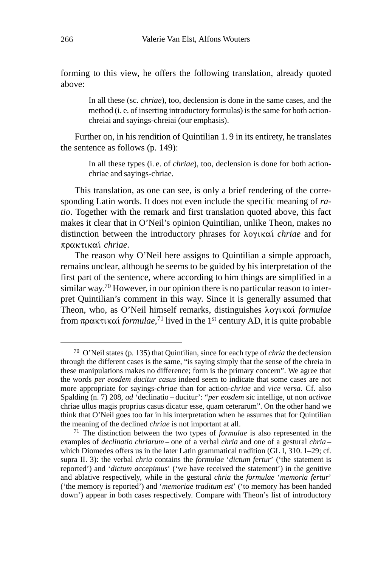forming to this view, he offers the following translation, already quoted above:

> In all these (sc. *chriae*), too, declension is done in the same cases, and the method (i. e. of inserting introductory formulas) is the same for both actionchreiai and sayings-chreiai (our emphasis).

Further on, in his rendition of Quintilian 1. 9 in its entirety, he translates the sentence as follows (p. 149):

> In all these types (i. e. of *chriae*), too, declension is done for both actionchriae and sayings-chriae.

This translation, as one can see, is only a brief rendering of the corresponding Latin words. It does not even include the specific meaning of *ratio*. Together with the remark and first translation quoted above, this fact makes it clear that in O'Neil's opinion Quintilian, unlike Theon, makes no distinction between the introductory phrases for λογικαί *chriae* and for πρακτικαί chriae.

The reason why O'Neil here assigns to Quintilian a simple approach, remains unclear, although he seems to be guided by his interpretation of the first part of the sentence, where according to him things are simplified in a similar way.70 However, in our opinion there is no particular reason to interpret Quintilian's comment in this way. Since it is generally assumed that Theon, who, as O'Neil himself remarks, distinguishes λογικαί formulae from πρακτικαί *formulae*,<sup>71</sup> lived in the 1<sup>st</sup> century AD, it is quite probable

<sup>70</sup> O'Neil states (p. 135) that Quintilian, since for each type of *chria* the declension through the different cases is the same, "is saying simply that the sense of the chreia in these manipulations makes no difference; form is the primary concern". We agree that the words *per eosdem ducitur casus* indeed seem to indicate that some cases are not more appropriate for sayings-*chriae* than for action-*chriae* and *vice versa.* Cf. also Spalding (n. 7) 208, *ad* 'declinatio – ducitur': "*per eosdem* sic intellige, ut non *activae* chriae ullus magis proprius casus dicatur esse, quam ceterarum". On the other hand we think that O'Neil goes too far in his interpretation when he assumes that for Quintilian the meaning of the declined *chriae* is not important at all.

<sup>71</sup> The distinction between the two types of *formulae* is also represented in the examples of *declinatio chriarum* – one of a verbal *chria* and one of a gestural *chria* – which Diomedes offers us in the later Latin grammatical tradition (GL I, 310. 1–29; cf. supra II. 3): the verbal *chria* contains the *formulae* '*dictum fertur*' ('the statement is reported') and '*dictum accepimus*' ('we have received the statement') in the genitive and ablative respectively, while in the gestural *chria* the *formulae* '*memoria fertur*' ('the memory is reported') and '*memoriae traditum est*' ('to memory has been handed down') appear in both cases respectively. Compare with Theon's list of introductory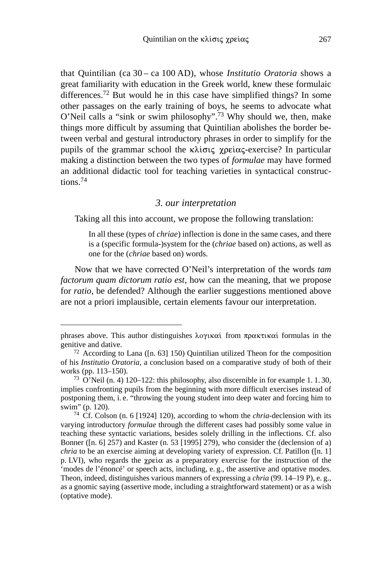that Quintilian (ca 30 – ca 100 AD), whose *Institutio Oratoria* shows a great familiarity with education in the Greek world, knew these formulaic differences.<sup>72</sup> But would he in this case have simplified things? In some other passages on the early training of boys, he seems to advocate what O'Neil calls a "sink or swim philosophy".73 Why should we, then, make things more difficult by assuming that Quintilian abolishes the border between verbal and gestural introductory phrases in order to simplify for the pupils of the grammar school the  $\kappa \lambda i \sigma \iota \varsigma$  -  $\chi$  perticular particular making a distinction between the two types of *formulae* may have formed an additional didactic tool for teaching varieties in syntactical constructions.74

#### *3. our interpretation*

Taking all this into account, we propose the following translation:

In all these (types of *chriae*) inflection is done in the same cases, and there is a (specific formula-)system for the (*chriae* based on) actions, as well as one for the (*chriae* based on) words.

Now that we have corrected O'Neil's interpretation of the words *tam factorum quam dictorum ratio est*, how can the meaning, that we propose for *ratio*, be defended? Although the earlier suggestions mentioned above are not a priori implausible, certain elements favour our interpretation.

phrases above. This author distinguishes  $\lambda$ oyikat from  $\pi$ paktikat formulas in the genitive and dative.

<sup>72</sup> According to Lana ([n. 63] 150) Quintilian utilized Theon for the composition of his *Institutio Oratoria*, a conclusion based on a comparative study of both of their works (pp. 113–150).

<sup>73</sup> O'Neil (n. 4) 120–122: this philosophy, also discernible in for example 1. 1. 30, implies confronting pupils from the beginning with more difficult exercises instead of postponing them, i. e. "throwing the young student into deep water and forcing him to swim" (p. 120).

<sup>74</sup> Cf. Colson (n. 6 [1924] 120), according to whom the *chria*-declension with its varying introductory *formulae* through the different cases had possibly some value in teaching these syntactic variations, besides solely drilling in the inflections. Cf. also Bonner ([n. 6] 257) and Kaster (n. 53 [1995] 279), who consider the (declension of a) *chria* to be an exercise aiming at developing variety of expression. Cf. Patillon ([n. 1] p. LVI), who regards the  $\chi$ pei $\alpha$  as a preparatory exercise for the instruction of the 'modes de l'énoncé' or speech acts, including, e. g., the assertive and optative modes. Theon, indeed, distinguishes various manners of expressing a *chria* (99. 14–19 P), e. g., as a gnomic saying (assertive mode, including a straightforward statement) or as a wish (optative mode).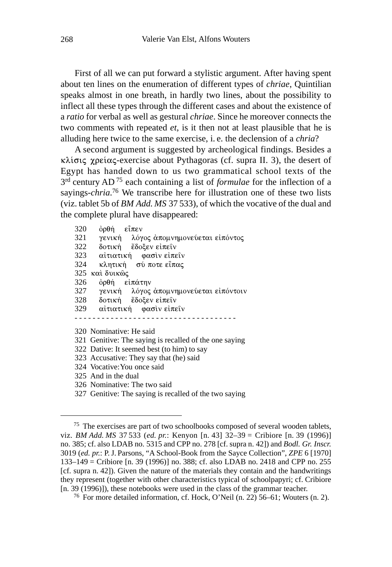First of all we can put forward a stylistic argument. After having spent about ten lines on the enumeration of different types of *chriae*, Quintilian speaks almost in one breath, in hardly two lines, about the possibility to inflect all these types through the different cases and about the existence of a *ratio* for verbal as well as gestural *chriae*. Since he moreover connects the two comments with repeated *et*, is it then not at least plausible that he is alluding here twice to the same exercise, i. e. the declension of a *chria*?

A second argument is suggested by archeological findings. Besides a  $\kappa\lambda$ ίσις χρείας-exercise about Pythagoras (cf. supra II. 3), the desert of Egypt has handed down to us two grammatical school texts of the 3rd century AD 75 each containing a list of *formulae* for the inflection of a sayings-*chria*. 76 We transcribe here for illustration one of these two lists (viz. tablet 5b of *BM Add. MS* 37 533), of which the vocative of the dual and the complete plural have disappeared:

| 320 | όρθή εἶπεν                                             |
|-----|--------------------------------------------------------|
| 321 | γενική λόγος άπομνημονεύεται είπόντος                  |
| 322 | δοτική έδοξεν είπειν                                   |
| 323 | αίτιατική φασινείπειν                                  |
| 324 | κλητική σύ ποτε εἶπας                                  |
|     | 325 καὶ δυικῶς                                         |
| 326 | όρθή είπάτην                                           |
| 327 | γενική λόγος άπομνημονεύεται είπόντοιν                 |
| 328 | δοτική έδοξεν είπειν                                   |
|     | 329 αἰτιατική φασὶνεἰπεῖν                              |
|     |                                                        |
|     | 320 Nominative: He said                                |
|     | 321 Genitive: The saying is recalled of the one saying |
|     | 322 Dative: It seemed best (to him) to say             |
|     | 323 Accusative: They say that (he) said                |
|     | 324 Vocative: You once said                            |
|     | 325 And in the dual                                    |
|     | 326 Nominative: The two said                           |

327 Genitive: The saying is recalled of the two saying

<sup>75</sup> The exercises are part of two schoolbooks composed of several wooden tablets, viz. *BM Add. MS* 37 533 (*ed. pr.*: Kenyon [n. 43] 32–39 = Cribiore [n. 39 (1996)] no. 385; cf. also LDAB no. 5315 and CPP no. 278 [cf. supra n. 42]) and *Bodl. Gr. Inscr.* 3019 (*ed. pr.*: P.J. Parsons, "A School-Book from the Sayce Collection", *ZPE* 6 [1970] 133–149 = Cribiore [n. 39 (1996)] no. 388; cf. also LDAB no. 2418 and CPP no. 255 [cf. supra n. 42]). Given the nature of the materials they contain and the handwritings they represent (together with other characteristics typical of schoolpapyri; cf. Cribiore [n. 39 (1996)]), these notebooks were used in the class of the grammar teacher.

<sup>76</sup> For more detailed information, cf. Hock, O'Neil (n. 22) 56–61; Wouters (n. 2).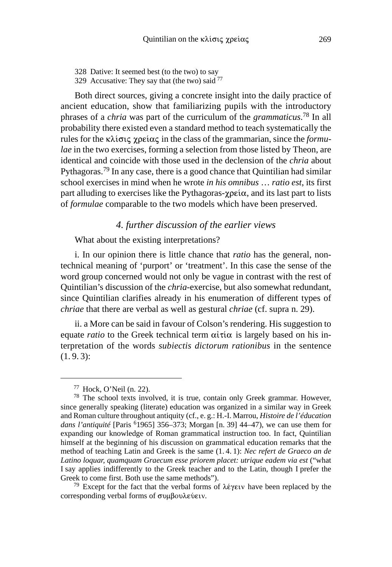328 Dative: It seemed best (to the two) to say 329 Accusative: They say that (the two) said  $^{77}$ 

Both direct sources, giving a concrete insight into the daily practice of ancient education, show that familiarizing pupils with the introductory phrases of a *chria* was part of the curriculum of the *grammaticus*. 78 In all probability there existed even a standard method to teach systematically the rules for the  $\kappa\lambda i\sigma i\varsigma$  *x* pei $\alpha\varsigma$  in the class of the grammarian, since the *formulae* in the two exercises, forming a selection from those listed by Theon, are identical and coincide with those used in the declension of the *chria* about Pythagoras.79 In any case, there is a good chance that Quintilian had similar school exercises in mind when he wrote *in his omnibus* … *ratio est*, its first part alluding to exercises like the Pythagoras- $\gamma \rho \epsilon \dot{\alpha}$ , and its last part to lists of *formulae* comparable to the two models which have been preserved.

*4. further discussion of the earlier views*

What about the existing interpretations?

i. In our opinion there is little chance that *ratio* has the general, nontechnical meaning of 'purport' or 'treatment'. In this case the sense of the word group concerned would not only be vague in contrast with the rest of Quintilian's discussion of the *chria*-exercise, but also somewhat redundant, since Quintilian clarifies already in his enumeration of different types of *chriae* that there are verbal as well as gestural *chriae* (cf. supra n. 29).

ii. a More can be said in favour of Colson's rendering. His suggestion to equate *ratio* to the Greek technical term  $\alpha \in \mathcal{X}$  is largely based on his interpretation of the words *subiectis dictorum rationibus* in the sentence  $(1.9.3):$ 

<sup>79</sup> Except for the fact that the verbal forms of  $\lambda \acute{\epsilon}$  per v have been replaced by the corresponding verbal forms of συμβουλεύειν.

<sup>77</sup> Hock, O'Neil (n. 22).

<sup>78</sup> The school texts involved, it is true, contain only Greek grammar. However, since generally speaking (literate) education was organized in a similar way in Greek and Roman culture throughout antiquity (cf., e. g.: H.-I. Marrou, *Histoire de l'éducation dans l'antiquité* [Paris 61965] 356–373; Morgan [n. 39] 44–47), we can use them for expanding our knowledge of Roman grammatical instruction too. In fact, Quintilian himself at the beginning of his discussion on grammatical education remarks that the method of teaching Latin and Greek is the same (1. 4. 1): *Nec refert de Graeco an de Latino loquar, quamquam Graecum esse priorem placet: utrique eadem via est* ("what I say applies indifferently to the Greek teacher and to the Latin, though I prefer the Greek to come first. Both use the same methods").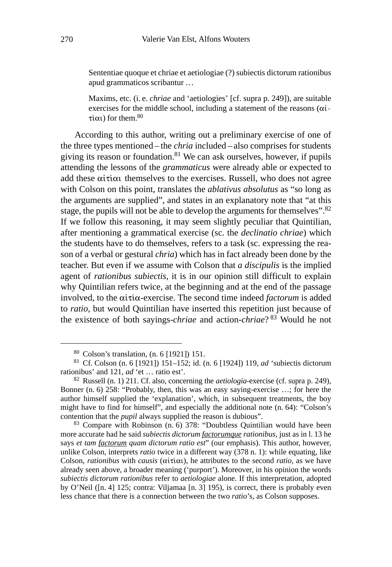Sententiae quoque et chriae et aetiologiae (?) subiectis dictorum rationibus apud grammaticos scribantur …

Maxims, etc. (i. e. *chriae* and 'aetiologies' [cf. supra p. 249]), are suitable exercises for the middle school, including a statement of the reasons  $(\alpha i$ - $\tau(\alpha_1)$  for them.<sup>80</sup>

According to this author, writing out a preliminary exercise of one of the three types mentioned – the *chria* included – also comprises for students giving its reason or foundation.<sup>81</sup> We can ask ourselves, however, if pupils attending the lessons of the *grammaticus* were already able or expected to add these  $\alpha i \tau i \alpha i$  themselves to the exercises. Russell, who does not agree with Colson on this point, translates the *ablativus absolutus* as "so long as the arguments are supplied", and states in an explanatory note that "at this stage, the pupils will not be able to develop the arguments for themselves".<sup>82</sup> If we follow this reasoning, it may seem slightly peculiar that Quintilian, after mentioning a grammatical exercise (sc. the *declinatio chriae*) which the students have to do themselves, refers to a task (sc. expressing the reason of a verbal or gestural *chria*) which has in fact already been done by the teacher. But even if we assume with Colson that *a discipulis* is the implied agent of *rationibus subiectis*, it is in our opinion still difficult to explain why Quintilian refers twice, at the beginning and at the end of the passage involved, to the  $\alpha i \tau i \alpha$ -exercise. The second time indeed *factorum* is added to *ratio*, but would Quintilian have inserted this repetition just because of the existence of both sayings-*chriae* and action-*chriae*? 83 Would he not

<sup>80</sup> Colson's translation, (n. 6 [1921]) 151.

<sup>81</sup> Cf. Colson (n. 6 [1921]) 151–152; id. (n. 6 [1924]) 119, *ad* 'subiectis dictorum rationibus' and 121, *ad* 'et … ratio est'.

<sup>82</sup> Russell (n. 1) 211. Cf. also, concerning the *aetiologia*-exercise (cf. supra p. 249), Bonner (n. 6) 258: "Probably, then, this was an easy saying-exercise …; for here the author himself supplied the 'explanation', which, in subsequent treatments, the boy might have to find for himself", and especially the additional note (n. 64): "Colson's contention that the *pupil* always supplied the reason is dubious".

<sup>83</sup> Compare with Robinson (n. 6) 378: "Doubtless Quintilian would have been more accurate had he said *subiectis dictorum factorumque rationibus,* just as in l. 13 he says *et tam factorum quam dictorum ratio est*" (our emphasis). This author, however, unlike Colson, interprets *ratio* twice in a different way (378 n. 1): while equating, like Colson, *rationibus* with *causis* ( $\alpha$ *i* $\tau$ *i* $\alpha$ *)*, he attributes to the second *ratio*, as we have already seen above, a broader meaning ('purport'). Moreover, in his opinion the words *subiectis dictorum rationibus* refer to *aetiologiae* alone. If this interpretation, adopted by O'Neil ([n. 4] 125; contra: Viljamaa [n. 3] 195), is correct, there is probably even less chance that there is a connection between the two *ratio*'s, as Colson supposes.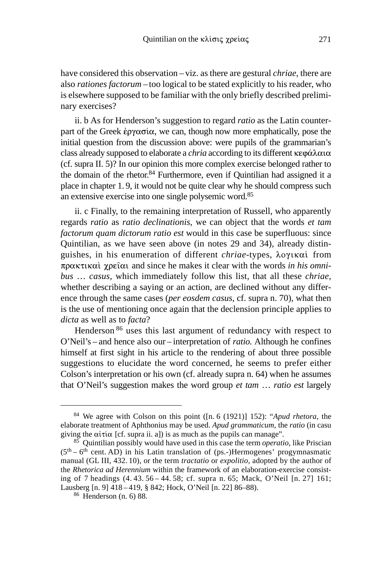have considered this observation – viz. as there are gestural *chriae*, there are also *rationes factorum* – too logical to be stated explicitly to his reader, who is elsewhere supposed to be familiar with the only briefly described preliminary exercises?

ii. b As for Henderson's suggestion to regard *ratio* as the Latin counterpart of the Greek  $\epsilon$   $\gamma \alpha \sigma$  *i* $\alpha$ , we can, though now more emphatically, pose the initial question from the discussion above: were pupils of the grammarian's class already supposed to elaborate a *chria* according to its different κεφάλαια (cf. supra II. 5)? In our opinion this more complex exercise belonged rather to the domain of the rhetor.84 Furthermore, even if Quintilian had assigned it a place in chapter 1. 9, it would not be quite clear why he should compress such an extensive exercise into one single polysemic word.85

ii. c Finally, to the remaining interpretation of Russell, who apparently regards *ratio* as *ratio declinationis*, we can object that the words *et tam factorum quam dictorum ratio est* would in this case be superfluous: since Quintilian, as we have seen above (in notes 29 and 34), already distinguishes, in his enumeration of different *chriae*-types, λογικαί from πρακτικαί χρείαι and since he makes it clear with the words *in his omnibus* … *casus*, which immediately follow this list, that all these *chriae*, whether describing a saying or an action, are declined without any difference through the same cases (*per eosdem casus*, cf. supra n. 70), what then is the use of mentioning once again that the declension principle applies to *dicta* as well as to *facta*?

Henderson <sup>86</sup> uses this last argument of redundancy with respect to O'Neil's – and hence also our – interpretation of *ratio.* Although he confines himself at first sight in his article to the rendering of about three possible suggestions to elucidate the word concerned, he seems to prefer either Colson's interpretation or his own (cf. already supra n. 64) when he assumes that O'Neil's suggestion makes the word group *et tam* … *ratio est* largely

<sup>84</sup> We agree with Colson on this point ([n. 6 (1921)] 152): "*Apud rhetora*, the elaborate treatment of Aphthonius may be used. *Apud grammaticum*, the *ratio* (in casu giving the  $\alpha i \tau i \alpha$  [cf. supra ii. a]) is as much as the pupils can manage".

<sup>85</sup> Quintilian possibly would have used in this case the term *operatio*, like Priscian  $(5<sup>th</sup> – 6<sup>th</sup>$  cent. AD) in his Latin translation of (ps.-)Hermogenes' progymnasmatic manual (GL III, 432. 10), or the term *tractatio* or *expolitio*, adopted by the author of the *Rhetorica ad Herennium* within the framework of an elaboration-exercise consisting of 7 headings (4. 43. 56 – 44. 58; cf. supra n. 65; Mack, O'Neil [n. 27] 161; Lausberg [n. 9] 418 – 419, § 842; Hock, O'Neil [n. 22] 86–88).

<sup>86</sup> Henderson (n. 6) 88.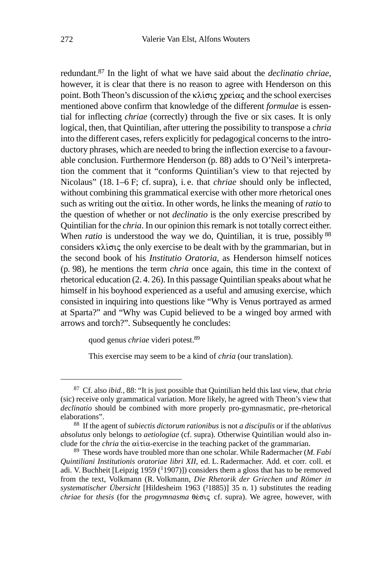redundant.87 In the light of what we have said about the *declinatio chriae*, however, it is clear that there is no reason to agree with Henderson on this point. Both Theon's discussion of the  $\kappa\lambda$  torq  $\gamma\rho\epsilon\alpha\zeta$  and the school exercises mentioned above confirm that knowledge of the different *formulae* is essential for inflecting *chriae* (correctly) through the five or six cases. It is only logical, then, that Quintilian, after uttering the possibility to transpose a *chria* into the different cases, refers explicitly for pedagogical concerns to the introductory phrases, which are needed to bring the inflection exercise to a favourable conclusion. Furthermore Henderson (p*.* 88) adds to O'Neil's interpretation the comment that it "conforms Quintilian's view to that rejected by Nicolaus" (18. 1–6 F; cf. supra), i. e. that *chriae* should only be inflected, without combining this grammatical exercise with other more rhetorical ones such as writing out the  $\alpha i \tau i \alpha$ . In other words, he links the meaning of *ratio* to the question of whether or not *declinatio* is the only exercise prescribed by Quintilian for the *chria*. In our opinion this remark is not totally correct either. When *ratio* is understood the way we do, Quintilian, it is true, possibly <sup>88</sup> considers  $\kappa\lambda i\sigma \iota \varsigma$  the only exercise to be dealt with by the grammarian, but in the second book of his *Institutio Oratoria*, as Henderson himself notices (p*.* 98), he mentions the term *chria* once again, this time in the context of rhetorical education (2. 4. 26). In this passage Quintilian speaks about what he himself in his boyhood experienced as a useful and amusing exercise, which consisted in inquiring into questions like "Why is Venus portrayed as armed at Sparta?" and "Why was Cupid believed to be a winged boy armed with arrows and torch?". Subsequently he concludes:

quod genus *chriae* videri potest.89

This exercise may seem to be a kind of *chria* (our translation).

<sup>87</sup> Cf. also *ibid.*, 88: "It is just possible that Quintilian held this last view, that *chria* (sic) receive only grammatical variation. More likely, he agreed with Theon's view that *declinatio* should be combined with more properly pro-gymnasmatic, pre-rhetorical elaborations".

<sup>88</sup> If the agent of *subiectis dictorum rationibus* is not *a discipulis* or if the *ablativus absolutus* only belongs to *aetiologiae* (cf. supra). Otherwise Quintilian would also include for the *chria* the  $\alpha i \tau i \alpha$ -exercise in the teaching packet of the grammarian.

<sup>89</sup> These words have troubled more than one scholar. While Radermacher (*M. Fabi Quintiliani Institutionis oratoriae libri XII*, ed. L. Radermacher. Add. et corr. coll. et adi. V. Buchheit [Leipzig 1959  $(1907)$ ]) considers them a gloss that has to be removed from the text, Volkmann (R. Volkmann, *Die Rhetorik der Griechen und Römer in systematischer Übersicht* [Hildesheim 1963 (²1885)] 35 n. 1) substitutes the reading *chriae* for *thesis* (for the *progymnasma* θέσις cf. supra). We agree, however, with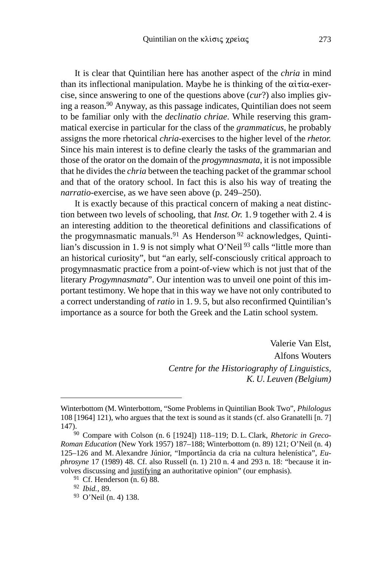It is clear that Quintilian here has another aspect of the *chria* in mind than its inflectional manipulation. Maybe he is thinking of the  $\alpha i \tau i \alpha$ -exercise, since answering to one of the questions above (*cur*?) also implies giving a reason.90 Anyway, as this passage indicates, Quintilian does not seem to be familiar only with the *declinatio chriae*. While reserving this grammatical exercise in particular for the class of the *grammaticus*, he probably assigns the more rhetorical *chria*-exercises to the higher level of the *rhetor.* Since his main interest is to define clearly the tasks of the grammarian and those of the orator on the domain of the *progymnasmata*, it is not impossible that he divides the *chria* between the teaching packet of the grammar school and that of the oratory school. In fact this is also his way of treating the *narratio*-exercise, as we have seen above (p. 249–250).

It is exactly because of this practical concern of making a neat distinction between two levels of schooling, that *Inst. Or.* 1. 9 together with 2. 4 is an interesting addition to the theoretical definitions and classifications of the progymnasmatic manuals.<sup>91</sup> As Henderson<sup>92</sup> acknowledges, Quintilian's discussion in 1.9 is not simply what O'Neil<sup>93</sup> calls "little more than an historical curiosity", but "an early, self-consciously critical approach to progymnasmatic practice from a point-of-view which is not just that of the literary *Progymnasmata*". Our intention was to unveil one point of this important testimony. We hope that in this way we have not only contributed to a correct understanding of *ratio* in 1. 9. 5, but also reconfirmed Quintilian's importance as a source for both the Greek and the Latin school system.

> Valerie Van Elst, Alfons Wouters *Centre for the Historiography of Linguistics, K. U. Leuven (Belgium)*

Winterbottom (M. Winterbottom, "Some Problems in Quintilian Book Two", *Philologus* 108 [1964] 121), who argues that the text is sound as it stands (cf. also Granatelli [n. 7] 147).

<sup>90</sup> Compare with Colson (n. 6 [1924]) 118–119; D. L. Clark, *Rhetoric in Greco-Roman Education* (New York 1957) 187–188; Winterbottom (n. 89) 121; O'Neil (n. 4) 125–126 and M. Alexandre Júnior, "Importância da cria na cultura helenística", *Euphrosyne* 17 (1989) 48. Cf. also Russell (n. 1) 210 n. 4 and 293 n. 18: "because it involves discussing and justifying an authoritative opinion" (our emphasis)*.*

<sup>91</sup> Cf. Henderson (n. 6) 88.

<sup>92</sup> *Ibid.*, 89.

<sup>93</sup> O'Neil (n. 4) 138.